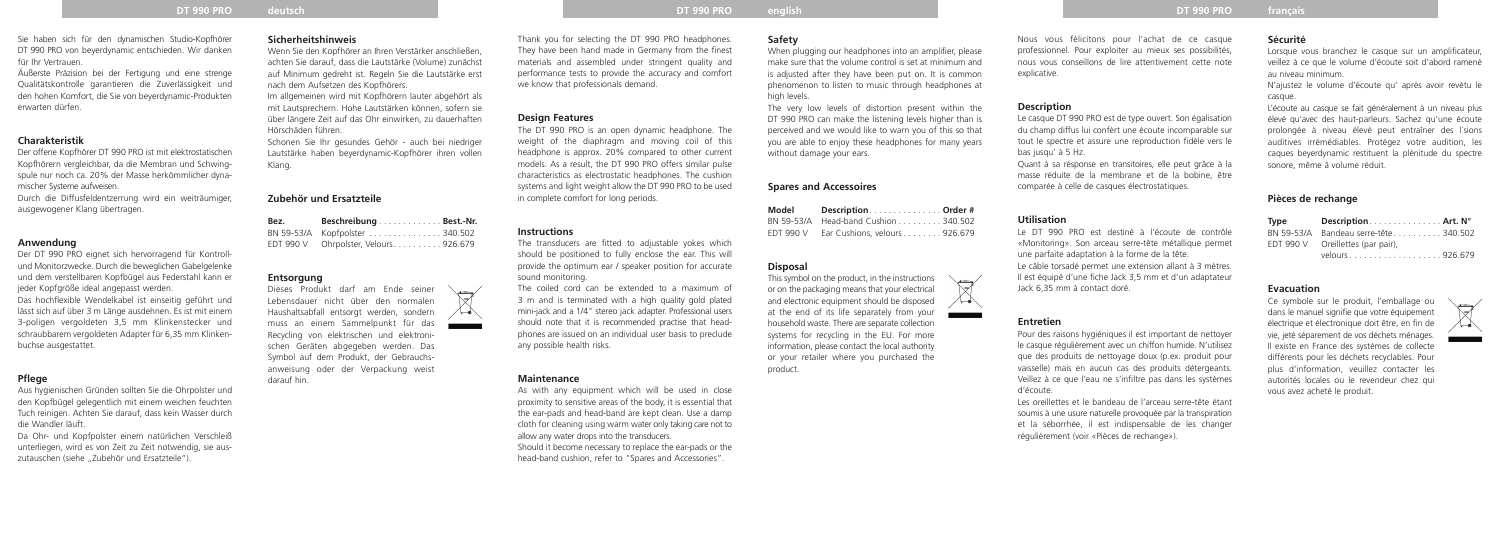# **DT 990 PRO deutsch DT 990 PRO english DT 990 PRO français**

# Sie haben sich für den dynamischen Studio-Kopfhörer DT 990 PRO von beyerdynamic entschieden. Wir danken für Ihr Vertrauen.

Äußerste Präzision bei der Fertigung und eine strenge Qualitäts kontrolle garantieren die Zuverlässigkeit und den hohen Komfort, die Sie von beyerdynamic-Produkten erwarten dürfen.

#### **Charakteristik**

Der offene Kopfhörer DT 990 PRO ist mit elektrostatischen Kopfhörern vergleichbar, da die Membran und Schwingspule nur noch ca. 20% der Masse herkömmlicher dynamischer Systeme aufweisen.

Durch die Diffusfeldentzerrung wird ein weiträumiger, ausgewogener Klang übertragen.

Da Ohr- und Kopfpolster einem natürlichen Verschleiß unterliegen, wird es von Zeit zu Zeit notwendig, sie auszutauschen (siehe "Zubehör und Ersatzteile").

# **Anwendung**

Wenn Sie den Kopfhörer an Ihren Verstärker anschließen, achten Sie darauf, dass die Lautstärke (Volume) zunächst auf Minimum gedreht ist. Regeln Sie die Lautstärke erst nach dem Aufsetzen des Kopfhörers.

Der DT 990 PRO eignet sich hervorragend für Kontrollund Monitorzwecke. Durch die beweglichen Gabelgelenke und dem verstellbaren Kopfbügel aus Federstahl kann er jeder Kopfgröße ideal angepasst werden.

Das hochflexible Wendelkabel ist einseitig geführt und lässt sich auf über 3 m Länge ausdehnen. Es ist mit einem 3-poligen vergoldeten 3.5 mm Klinkenstecker und schraubbarem vergoldeten Adapter für 6,35 mm Klinkenbuchse ausgestattet.

#### **Pflege**

Aus hygienischen Gründen sollten Sie die Ohrpolster und den Kopfbügel gelegentlich mit einem weichen feuchten Tuch reinigen. Achten Sie darauf, dass kein Wasser durch die Wandler läuft.

**Sicherheitshinweis**

Im allgemeinen wird mit Kopfhörern lauter abgehört als mit Laut sprechern. Hohe Lautstärken können, sofern sie über längere Zeit auf das Ohr einwirken, zu dauerhaften Hörschäden führen.

Schonen Sie Ihr gesundes Gehör - auch bei niedriger Lautstärke haben beyerdynamic-Kopfhörer ihren vollen Klang.

> As with any equipment which will be used in close proximity to sensitive areas of the body, it is essential that the ear-pads and head-band are kept clean. Use a damp cloth for cleaning using warm water only taking care not to allow any water drops into the transducers. Should it become necessary to replace the ear-pads or the

# **Zubehör und Ersatzteile**

| Bez.      | Beschreibung Best.-Nr.         |  |
|-----------|--------------------------------|--|
|           | BN 59-53/A Kopfpolster 340.502 |  |
| EDT 990 V | Ohrpolster, Velours926.679     |  |

#### **Entsorgung**

Dieses Produkt darf am Ende seiner Lebensdauer nicht über den normalen Haushaltsabfall entsorgt werden, sondern muss an einem Sammelpunkt für das Recycling von elektrischen und elektronischen Geräten abgegeben werden. Das Symbol auf dem Produkt, der Gebrauchsanweisung oder der Verpackung weist darauf hin.



Thank you for selecting the DT 990 PRO headphones. They have been hand made in Germany from the finest materials and assembled under stringent quality and performance tests to provide the accuracy and comfort we know that professionals demand.

#### **Design Features**

The DT 990 PRO is an open dynamic headphone. The weight of the diaphragm and moving coil of this headphone is approx. 20% compared to other current models. As a result, the DT 990 PRO offers similar pulse characteristics as electrostatic headphones. The cushion systems and light weight allow the DT 990 PRO to be used in complete comfort for long periods.

# **Instructions**

The transducers are fitted to adjustable yokes which should be positioned to fully enclose the ear. This will provide the optimum ear / speaker position for accurate sound monitoring.

Lorsque vous branchez le casque sur un amplificateur. veillez à ce que le volume d'écoute soit d'abord ramené au niveau minimum.

The coiled cord can be extended to a maximum of 3 m and is terminated with a high quality gold plated mini-jack and a 1/4" stereo jack adapter. Professional users should note that it is recommended practise that headphones are issued on an individual user basis to preclude any possible health risks.

#### **Maintenance**

head-band cushion, refer to "Spares and Accessories".

# **Safety**

When plugging our headphones into an amplifier, please make sure that the volume control is set at minimum and is adjusted after they have been put on. It is common phenomenon to listen to music through headphones at high levels.

The very low levels of distortion present within the DT 990 PRO can make the listening levels higher than is perceived and we would like to warn you of this so that you are able to enjoy these headphones for many years without damage your ears.

# **Spares and Accessoires**

| Model            | DescriptionOrder #            |  |
|------------------|-------------------------------|--|
| BN 59-53/A       | Head-band Cushion 340.502     |  |
| <b>EDT 990 V</b> | Ear Cushions, velours 926.679 |  |

#### **Disposal**

This symbol on the product, in the instructions or on the packaging means that your electrical and electronic equipment should be disposed at the end of its life separately from your household waste. There are separate collection systems for recycling in the EU. For more information, please contact the local authority or your retailer where you purchased the product.

# Nous vous félicitons pour l'achat de ce casque professionnel. Pour exploiter au mieux ses possibilités, nous vous conseillons de lire attentivement cette note explicative.

#### **Description**

Le casque DT 990 PRO est de type ouvert. Son égalisation du champ diffus lui confèrt une écoute incomparable sur tout le spectre et assure une reproduction fidèle vers le bas jusqu' à 5 Hz. Quant à sa résponse en transitoires, elle peut grâce à la masse réduite de la membrane et de la bobine, être comparée à celle de casques électrostatiques.

#### **Utilisation**

Le DT 990 PRO est destiné à l'écoute de contrôle «Monitoring». Son arceau serre-tête métallique permet une parfaite adaptation à la forme de la tête. Le câble torsadé permet une extension allant à 3 mètres. Il est équipé d'une fiche Jack 3,5 mm et d'un adaptateur Jack 6,35 mm à contact doré.

#### **Entretien**

 $\forall$ 

 $\sim$ 

Pour des raisons hygiéniques il est important de nettoyer le casque régulièrement avec un chiffon humide. N'utilisez que des produits de nettoyage doux (p.ex. produit pour vaisselle) mais en aucun cas des produits détergeants. Veillez à ce que l'eau ne s'infiltre pas dans les systèmes d'écoute.

Les oreillettes et le bandeau de l'arceau serre-tête étant soumis à une usure naturelle provoquée par la transpiration et la séborrhée, il est indispensable de les changer régulièrement (voir «Pièces de rechange»).

# **Sécurité**

N'ajustez le volume d'écoute qu' après avoir revètu le casque.

L'écoute au casque se fait généralement à un niveau plus élevé qu'avec des haut-parleurs. Sachez qu'une écoute prolongée à niveau élevé peut entraîner des l´sions auditives irrémédiables. Protégez votre audition, les caques beyerdynamic restituent la plénitude du spectre sonore, même â volume réduit.

# **Pièces de rechange**

| Type       | Description Art. N°       |  |
|------------|---------------------------|--|
| BN 59-53/A | Bandeau serre-tête340.502 |  |
| EDT 990 V  | Oreillettes (par pair),   |  |
|            |                           |  |

#### **Evacuation**

Ce symbole sur le produit, l'emballage ou dans le manuel signifie que votre équipement électrique et électronique doit être, en fin de vie, jeté séparement de vos déchets ménages. Il existe en France des systèmes de collecte différents pour les déchets recyclables. Pour plus d'information, veuillez contacter les autorités locales ou le revendeur chez qui vous avez acheté le produit.